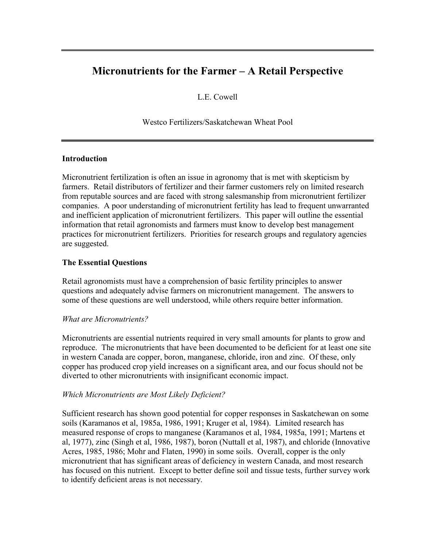# **Micronutrients for the Farmer – A Retail Perspective**

L.E. Cowell

Westco Fertilizers/Saskatchewan Wheat Pool

## **Introduction**

Micronutrient fertilization is often an issue in agronomy that is met with skepticism by farmers. Retail distributors of fertilizer and their farmer customers rely on limited research from reputable sources and are faced with strong salesmanship from micronutrient fertilizer companies. A poor understanding of micronutrient fertility has lead to frequent unwarranted and inefficient application of micronutrient fertilizers. This paper will outline the essential information that retail agronomists and farmers must know to develop best management practices for micronutrient fertilizers. Priorities for research groups and regulatory agencies are suggested.

# **The Essential Questions**

Retail agronomists must have a comprehension of basic fertility principles to answer questions and adequately advise farmers on micronutrient management. The answers to some of these questions are well understood, while others require better information.

#### *What are Micronutrients?*

Micronutrients are essential nutrients required in very small amounts for plants to grow and reproduce. The micronutrients that have been documented to be deficient for at least one site in western Canada are copper, boron, manganese, chloride, iron and zinc. Of these, only copper has produced crop yield increases on a significant area, and our focus should not be diverted to other micronutrients with insignificant economic impact.

# *Which Micronutrients are Most Likely Deficient?*

Sufficient research has shown good potential for copper responses in Saskatchewan on some soils (Karamanos et al, 1985a, 1986, 1991; Kruger et al, 1984). Limited research has measured response of crops to manganese (Karamanos et al, 1984, 1985a, 1991; Martens et al, 1977), zinc (Singh et al, 1986, 1987), boron (Nuttall et al, 1987), and chloride (Innovative Acres, 1985, 1986; Mohr and Flaten, 1990) in some soils. Overall, copper is the only micronutrient that has significant areas of deficiency in western Canada, and most research has focused on this nutrient. Except to better define soil and tissue tests, further survey work to identify deficient areas is not necessary.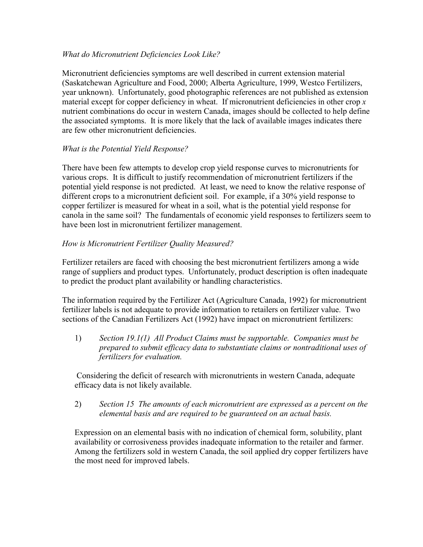## *What do Micronutrient Deficiencies Look Like?*

Micronutrient deficiencies symptoms are well described in current extension material (Saskatchewan Agriculture and Food, 2000; Alberta Agriculture, 1999, Westco Fertilizers, year unknown). Unfortunately, good photographic references are not published as extension material except for copper deficiency in wheat. If micronutrient deficiencies in other crop *x* nutrient combinations do occur in western Canada, images should be collected to help define the associated symptoms. It is more likely that the lack of available images indicates there are few other micronutrient deficiencies.

## *What is the Potential Yield Response?*

There have been few attempts to develop crop yield response curves to micronutrients for various crops. It is difficult to justify recommendation of micronutrient fertilizers if the potential yield response is not predicted. At least, we need to know the relative response of different crops to a micronutrient deficient soil. For example, if a 30% yield response to copper fertilizer is measured for wheat in a soil, what is the potential yield response for canola in the same soil? The fundamentals of economic yield responses to fertilizers seem to have been lost in micronutrient fertilizer management.

## *How is Micronutrient Fertilizer Quality Measured?*

Fertilizer retailers are faced with choosing the best micronutrient fertilizers among a wide range of suppliers and product types. Unfortunately, product description is often inadequate to predict the product plant availability or handling characteristics.

The information required by the Fertilizer Act (Agriculture Canada, 1992) for micronutrient fertilizer labels is not adequate to provide information to retailers on fertilizer value. Two sections of the Canadian Fertilizers Act (1992) have impact on micronutrient fertilizers:

1) *Section 19.1(1) All Product Claims must be supportable. Companies must be prepared to submit efficacy data to substantiate claims or nontraditional uses of fertilizers for evaluation.*

 Considering the deficit of research with micronutrients in western Canada, adequate efficacy data is not likely available.

# 2) *Section 15 The amounts of each micronutrient are expressed as a percent on the elemental basis and are required to be guaranteed on an actual basis.*

Expression on an elemental basis with no indication of chemical form, solubility, plant availability or corrosiveness provides inadequate information to the retailer and farmer. Among the fertilizers sold in western Canada, the soil applied dry copper fertilizers have the most need for improved labels.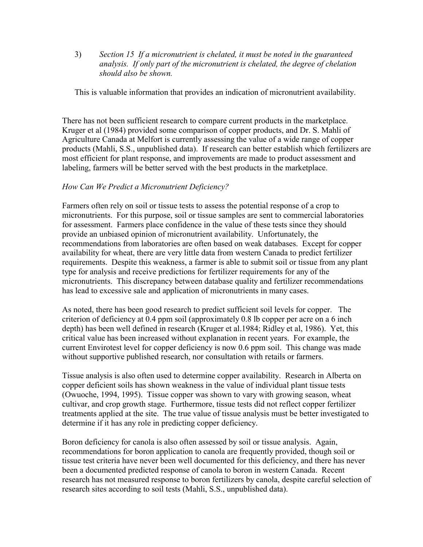3) *Section 15 If a micronutrient is chelated, it must be noted in the guaranteed analysis. If only part of the micronutrient is chelated, the degree of chelation should also be shown.*

This is valuable information that provides an indication of micronutrient availability.

There has not been sufficient research to compare current products in the marketplace. Kruger et al (1984) provided some comparison of copper products, and Dr. S. Mahli of Agriculture Canada at Melfort is currently assessing the value of a wide range of copper products (Mahli, S.S., unpublished data). If research can better establish which fertilizers are most efficient for plant response, and improvements are made to product assessment and labeling, farmers will be better served with the best products in the marketplace.

## *How Can We Predict a Micronutrient Deficiency?*

Farmers often rely on soil or tissue tests to assess the potential response of a crop to micronutrients. For this purpose, soil or tissue samples are sent to commercial laboratories for assessment. Farmers place confidence in the value of these tests since they should provide an unbiased opinion of micronutrient availability. Unfortunately, the recommendations from laboratories are often based on weak databases. Except for copper availability for wheat, there are very little data from western Canada to predict fertilizer requirements. Despite this weakness, a farmer is able to submit soil or tissue from any plant type for analysis and receive predictions for fertilizer requirements for any of the micronutrients. This discrepancy between database quality and fertilizer recommendations has lead to excessive sale and application of micronutrients in many cases.

As noted, there has been good research to predict sufficient soil levels for copper. The criterion of deficiency at 0.4 ppm soil (approximately 0.8 lb copper per acre on a 6 inch depth) has been well defined in research (Kruger et al.1984; Ridley et al, 1986). Yet, this critical value has been increased without explanation in recent years. For example, the current Envirotest level for copper deficiency is now 0.6 ppm soil. This change was made without supportive published research, nor consultation with retails or farmers.

Tissue analysis is also often used to determine copper availability. Research in Alberta on copper deficient soils has shown weakness in the value of individual plant tissue tests (Owuoche, 1994, 1995). Tissue copper was shown to vary with growing season, wheat cultivar, and crop growth stage. Furthermore, tissue tests did not reflect copper fertilizer treatments applied at the site. The true value of tissue analysis must be better investigated to determine if it has any role in predicting copper deficiency.

Boron deficiency for canola is also often assessed by soil or tissue analysis. Again, recommendations for boron application to canola are frequently provided, though soil or tissue test criteria have never been well documented for this deficiency, and there has never been a documented predicted response of canola to boron in western Canada. Recent research has not measured response to boron fertilizers by canola, despite careful selection of research sites according to soil tests (Mahli, S.S., unpublished data).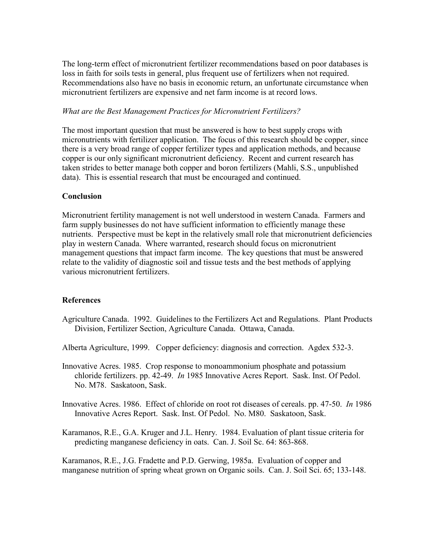The long-term effect of micronutrient fertilizer recommendations based on poor databases is loss in faith for soils tests in general, plus frequent use of fertilizers when not required. Recommendations also have no basis in economic return, an unfortunate circumstance when micronutrient fertilizers are expensive and net farm income is at record lows.

#### *What are the Best Management Practices for Micronutrient Fertilizers?*

The most important question that must be answered is how to best supply crops with micronutrients with fertilizer application. The focus of this research should be copper, since there is a very broad range of copper fertilizer types and application methods, and because copper is our only significant micronutrient deficiency. Recent and current research has taken strides to better manage both copper and boron fertilizers (Mahli, S.S., unpublished data). This is essential research that must be encouraged and continued.

## **Conclusion**

Micronutrient fertility management is not well understood in western Canada. Farmers and farm supply businesses do not have sufficient information to efficiently manage these nutrients. Perspective must be kept in the relatively small role that micronutrient deficiencies play in western Canada. Where warranted, research should focus on micronutrient management questions that impact farm income. The key questions that must be answered relate to the validity of diagnostic soil and tissue tests and the best methods of applying various micronutrient fertilizers.

# **References**

- Agriculture Canada. 1992. Guidelines to the Fertilizers Act and Regulations. Plant Products Division, Fertilizer Section, Agriculture Canada. Ottawa, Canada.
- Alberta Agriculture, 1999. Copper deficiency: diagnosis and correction. Agdex 532-3.
- Innovative Acres. 1985. Crop response to monoammonium phosphate and potassium chloride fertilizers. pp. 42-49. *In* 1985 Innovative Acres Report. Sask. Inst. Of Pedol. No. M78. Saskatoon, Sask.
- Innovative Acres. 1986. Effect of chloride on root rot diseases of cereals. pp. 47-50. *In* 1986 Innovative Acres Report. Sask. Inst. Of Pedol. No. M80. Saskatoon, Sask.

Karamanos, R.E., G.A. Kruger and J.L. Henry. 1984. Evaluation of plant tissue criteria for predicting manganese deficiency in oats. Can. J. Soil Sc. 64: 863-868.

Karamanos, R.E., J.G. Fradette and P.D. Gerwing, 1985a. Evaluation of copper and manganese nutrition of spring wheat grown on Organic soils. Can. J. Soil Sci. 65; 133-148.